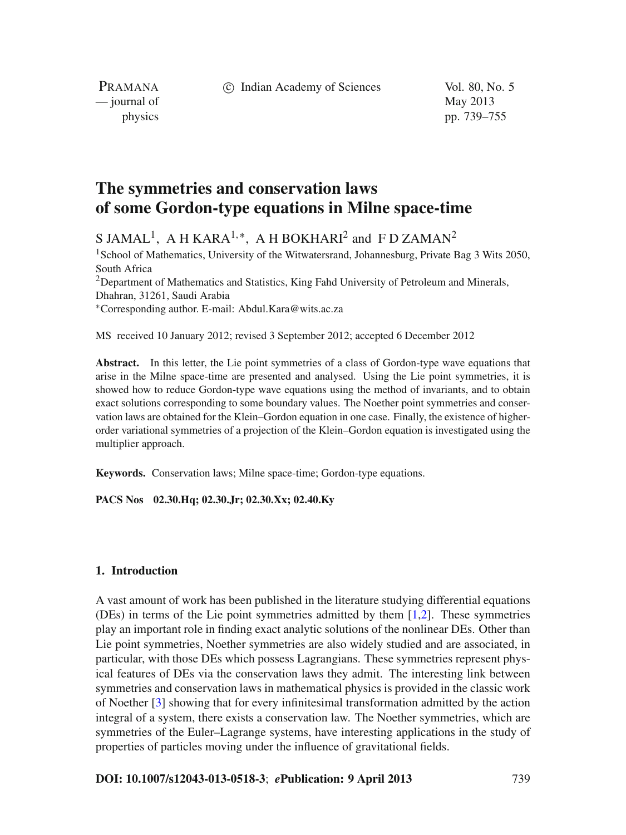c Indian Academy of Sciences Vol. 80, No. 5

PRAMANA — journal of May 2013

physics pp. 739–755

# **The symmetries and conservation laws of some Gordon-type equations in Milne space-time**

S JAMAL<sup>1</sup>, A H KARA<sup>1,\*</sup>, A H BOKHARI<sup>2</sup> and F D ZAMAN<sup>2</sup>

<sup>1</sup>School of Mathematics, University of the Witwatersrand, Johannesburg, Private Bag 3 Wits 2050, South Africa  $2$ Department of Mathematics and Statistics, King Fahd University of Petroleum and Minerals, Dhahran, 31261, Saudi Arabia <sup>∗</sup>Corresponding author. E-mail: Abdul.Kara@wits.ac.za

MS received 10 January 2012; revised 3 September 2012; accepted 6 December 2012

**Abstract.** In this letter, the Lie point symmetries of a class of Gordon-type wave equations that arise in the Milne space-time are presented and analysed. Using the Lie point symmetries, it is showed how to reduce Gordon-type wave equations using the method of invariants, and to obtain exact solutions corresponding to some boundary values. The Noether point symmetries and conservation laws are obtained for the Klein–Gordon equation in one case. Finally, the existence of higherorder variational symmetries of a projection of the Klein–Gordon equation is investigated using the multiplier approach.

**Keywords.** Conservation laws; Milne space-time; Gordon-type equations.

**PACS Nos 02.30.Hq; 02.30.Jr; 02.30.Xx; 02.40.Ky**

### **1. Introduction**

A vast amount of work has been published in the literature studying differential equations (DEs) in terms of the Lie point symmetries admitted by them [\[1](#page-16-0)[,2](#page-16-1)]. These symmetries play an important role in finding exact analytic solutions of the nonlinear DEs. Other than Lie point symmetries, Noether symmetries are also widely studied and are associated, in particular, with those DEs which possess Lagrangians. These symmetries represent physical features of DEs via the conservation laws they admit. The interesting link between symmetries and conservation laws in mathematical physics is provided in the classic work of Noether [\[3\]](#page-16-2) showing that for every infinitesimal transformation admitted by the action integral of a system, there exists a conservation law. The Noether symmetries, which are symmetries of the Euler–Lagrange systems, have interesting applications in the study of properties of particles moving under the influence of gravitational fields.

**DOI: 10.1007/s12043-013-0518-3**; *e***Publication: 9 April 2013** 739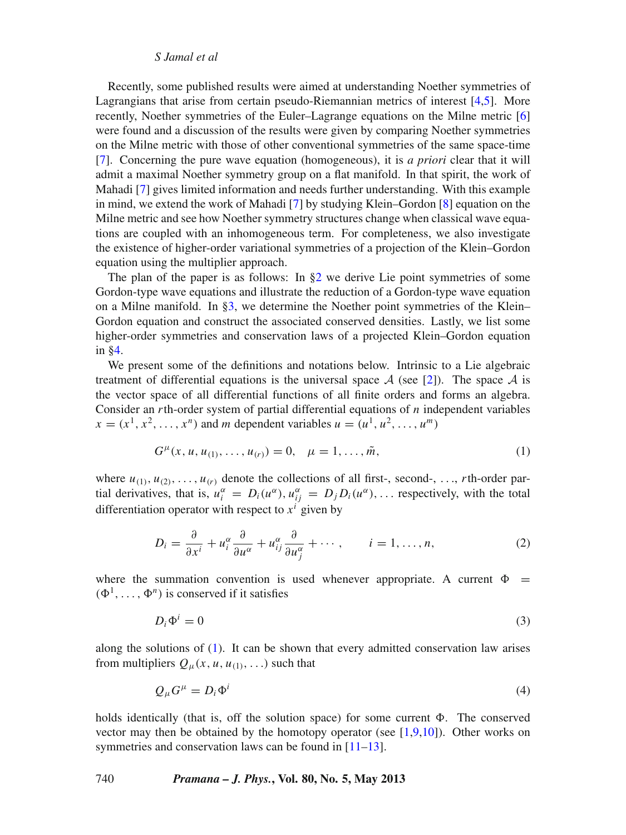Recently, some published results were aimed at understanding Noether symmetries of Lagrangians that arise from certain pseudo-Riemannian metrics of interest [\[4](#page-16-3)[,5](#page-16-4)]. More recently, Noether symmetries of the Euler–Lagrange equations on the Milne metric [\[6\]](#page-16-5) were found and a discussion of the results were given by comparing Noether symmetries on the Milne metric with those of other conventional symmetries of the same space-time [\[7](#page-16-6)]. Concerning the pure wave equation (homogeneous), it is *a priori* clear that it will admit a maximal Noether symmetry group on a flat manifold. In that spirit, the work of Mahadi [\[7\]](#page-16-6) gives limited information and needs further understanding. With this example in mind, we extend the work of Mahadi [\[7\]](#page-16-6) by studying Klein–Gordon [\[8\]](#page-16-7) equation on the Milne metric and see how Noether symmetry structures change when classical wave equations are coupled with an inhomogeneous term. For completeness, we also investigate the existence of higher-order variational symmetries of a projection of the Klein–Gordon equation using the multiplier approach.

The plan of the paper is as follows: In  $\S2$  we derive Lie point symmetries of some Gordon-type wave equations and illustrate the reduction of a Gordon-type wave equation on a Milne manifold. In [§3,](#page-12-0) we determine the Noether point symmetries of the Klein– Gordon equation and construct the associated conserved densities. Lastly, we list some higher-order symmetries and conservation laws of a projected Klein–Gordon equation in [§4.](#page-14-0)

We present some of the definitions and notations below. Intrinsic to a Lie algebraic treatment of differential equations is the universal space  $A$  (see [\[2\]](#page-16-1)). The space  $A$  is the vector space of all differential functions of all finite orders and forms an algebra. Consider an *r*th-order system of partial differential equations of *n* independent variables  $x = (x^1, x^2, \ldots, x^n)$  and *m* dependent variables  $u = (u^1, u^2, \ldots, u^m)$ 

<span id="page-1-0"></span>
$$
G^{\mu}(x, u, u_{(1)}, \dots, u_{(r)}) = 0, \quad \mu = 1, \dots, \tilde{m}, \tag{1}
$$

where  $u_{(1)}, u_{(2)}, \ldots, u_{(r)}$  denote the collections of all first-, second-, ..., *r*th-order partial derivatives, that is,  $u_i^{\alpha} = D_i(u^{\alpha})$ ,  $u_{ij}^{\alpha} = D_j D_i(u^{\alpha})$ , ... respectively, with the total differentiation operator with respect to  $x^i$  given by

$$
D_i = \frac{\partial}{\partial x^i} + u_i^{\alpha} \frac{\partial}{\partial u^{\alpha}} + u_{ij}^{\alpha} \frac{\partial}{\partial u_j^{\alpha}} + \cdots, \qquad i = 1, \dots, n,
$$
 (2)

where the summation convention is used whenever appropriate. A current  $\Phi =$  $(\Phi^1,\ldots,\Phi^n)$  is conserved if it satisfies

$$
D_i \Phi^i = 0 \tag{3}
$$

along the solutions of  $(1)$ . It can be shown that every admitted conservation law arises from multipliers  $Q_{\mu}(x, u, u_{(1)},...)$  such that

$$
Q_{\mu}G^{\mu} = D_i \Phi^i \tag{4}
$$

holds identically (that is, off the solution space) for some current  $\Phi$ . The conserved vector may then be obtained by the homotopy operator (see  $[1,9,10]$  $[1,9,10]$  $[1,9,10]$ ). Other works on symmetries and conservation laws can be found in  $[11-13]$  $[11-13]$ .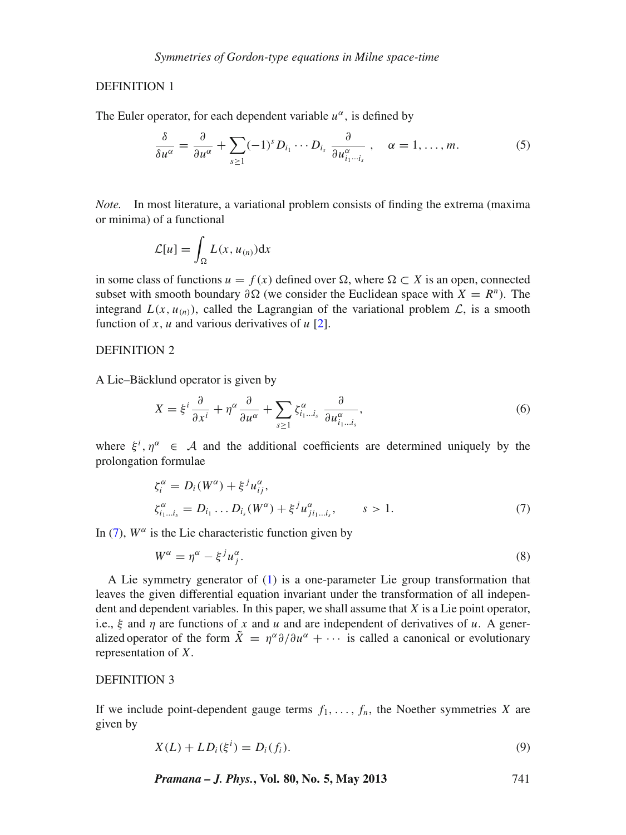# DEFINITION 1

The Euler operator, for each dependent variable  $u^{\alpha}$ , is defined by

<span id="page-2-1"></span>
$$
\frac{\delta}{\delta u^{\alpha}} = \frac{\partial}{\partial u^{\alpha}} + \sum_{s \ge 1} (-1)^s D_{i_1} \cdots D_{i_s} \frac{\partial}{\partial u^{\alpha}_{i_1 \cdots i_s}} , \quad \alpha = 1, \ldots, m. \tag{5}
$$

*Note.* In most literature, a variational problem consists of finding the extrema (maxima or minima) of a functional

$$
\mathcal{L}[u] = \int_{\Omega} L(x, u_{(n)}) \mathrm{d}x
$$

in some class of functions  $u = f(x)$  defined over  $\Omega$ , where  $\Omega \subset X$  is an open, connected subset with smooth boundary  $\partial \Omega$  (we consider the Euclidean space with  $X = R^n$ ). The integrand  $L(x, u_{(n)})$ , called the Lagrangian of the variational problem  $\mathcal{L}$ , is a smooth function of *x*, *u* and various derivatives of  $u$  [\[2\]](#page-16-1).

# DEFINITION 2

A Lie–Bäcklund operator is given by

$$
X = \xi^{i} \frac{\partial}{\partial x^{i}} + \eta^{\alpha} \frac{\partial}{\partial u^{\alpha}} + \sum_{s \ge 1} \zeta_{i_{1} \dots i_{s}}^{\alpha} \frac{\partial}{\partial u_{i_{1} \dots i_{s}}^{\alpha}}, \tag{6}
$$

where  $\xi^i$ ,  $\eta^\alpha$   $\in$  A and the additional coefficients are determined uniquely by the prolongation formulae

<span id="page-2-0"></span>
$$
\zeta_i^{\alpha} = D_i(W^{\alpha}) + \xi^j u_{ij}^{\alpha}, \n\zeta_{i_1...i_s}^{\alpha} = D_{i_1} \dots D_{i_s}(W^{\alpha}) + \xi^j u_{ji_1...i_s}^{\alpha}, \qquad s > 1.
$$
\n(7)

In [\(7\)](#page-2-0),  $W^{\alpha}$  is the Lie characteristic function given by

$$
W^{\alpha} = \eta^{\alpha} - \xi^{j} u_{j}^{\alpha}.
$$
 (8)

A Lie symmetry generator of [\(1\)](#page-1-0) is a one-parameter Lie group transformation that leaves the given differential equation invariant under the transformation of all independent and dependent variables. In this paper, we shall assume that *X* is a Lie point operator, i.e.,  $\xi$  and  $\eta$  are functions of x and u and are independent of derivatives of u. A generalized operator of the form  $\tilde{X} = \eta^{\alpha} \partial/\partial u^{\alpha} + \cdots$  is called a canonical or evolutionary representation of *X*.

# DEFINITION 3

If we include point-dependent gauge terms  $f_1, \ldots, f_n$ , the Noether symmetries *X* are given by

<span id="page-2-2"></span>
$$
X(L) + LD_i(\xi^i) = D_i(f_i).
$$
\n(9)

*Pramana – J. Phys.***, Vol. 80, No. 5, May 2013** 741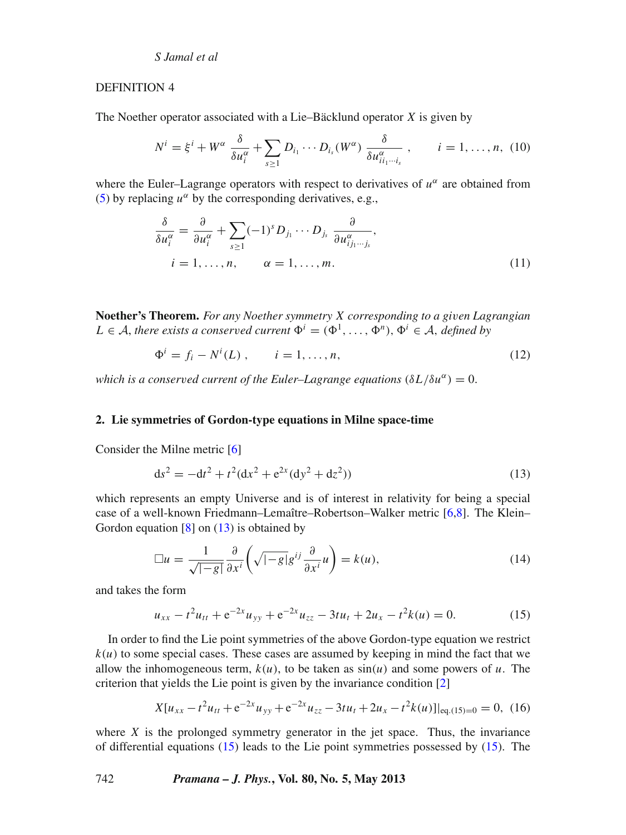#### DEFINITION 4

The Noether operator associated with a Lie–Bäcklund operator *X* is given by

$$
N^{i} = \xi^{i} + W^{\alpha} \frac{\delta}{\delta u_{i}^{\alpha}} + \sum_{s \geq 1} D_{i_{1}} \cdots D_{i_{s}}(W^{\alpha}) \frac{\delta}{\delta u_{ii_{1} \cdots i_{s}}^{\alpha}}, \qquad i = 1, \ldots, n, (10)
$$

where the Euler–Lagrange operators with respect to derivatives of  $u^{\alpha}$  are obtained from [\(5\)](#page-2-1) by replacing  $u^{\alpha}$  by the corresponding derivatives, e.g.,

$$
\frac{\delta}{\delta u_i^{\alpha}} = \frac{\partial}{\partial u_i^{\alpha}} + \sum_{s \ge 1} (-1)^s D_{j_1} \cdots D_{j_s} \frac{\partial}{\partial u_{j_j, \dots, j_s}^{\alpha}},
$$
  
\n $i = 1, \dots, n, \qquad \alpha = 1, \dots, m.$  (11)

**Noether's Theorem.** *For any Noether symmetry X corresponding to a gi*v*en Lagrangian L* ∈ *A*, *there exists a conserved current*  $\Phi^i = (\Phi^1, \ldots, \Phi^n), \Phi^i \in A$ , *defined by* 

$$
\Phi^{i} = f_{i} - N^{i}(L) , \qquad i = 1, ..., n,
$$
\n(12)

*which is a conserved current of the Euler–Lagrange equations*  $(\delta L/\delta u^{\alpha}) = 0$ .

# <span id="page-3-0"></span>**2. Lie symmetries of Gordon-type equations in Milne space-time**

Consider the Milne metric [\[6\]](#page-16-5)

<span id="page-3-1"></span>
$$
ds^{2} = -dt^{2} + t^{2}(dx^{2} + e^{2x}(dy^{2} + dz^{2}))
$$
\n(13)

which represents an empty Universe and is of interest in relativity for being a special case of a well-known Friedmann–Lemaître–Robertson–Walker metric [\[6](#page-16-5)[,8\]](#page-16-7). The Klein– Gordon equation  $[8]$  on  $(13)$  is obtained by

$$
\Box u = \frac{1}{\sqrt{|-g|}} \frac{\partial}{\partial x^i} \left( \sqrt{|-g|} g^{ij} \frac{\partial}{\partial x^i} u \right) = k(u), \tag{14}
$$

and takes the form

<span id="page-3-2"></span>
$$
u_{xx} - t^2 u_{tt} + e^{-2x} u_{yy} + e^{-2x} u_{zz} - 3t u_t + 2u_x - t^2 k(u) = 0.
$$
 (15)

In order to find the Lie point symmetries of the above Gordon-type equation we restrict  $k(u)$  to some special cases. These cases are assumed by keeping in mind the fact that we allow the inhomogeneous term,  $k(u)$ , to be taken as  $sin(u)$  and some powers of *u*. The criterion that yields the Lie point is given by the invariance condition [\[2\]](#page-16-1)

<span id="page-3-3"></span>
$$
X[u_{xx} - t^2 u_{tt} + e^{-2x} u_{yy} + e^{-2x} u_{zz} - 3t u_t + 2u_x - t^2 k(u)]|_{\text{eq.}(15) = 0} = 0, (16)
$$

where  $X$  is the prolonged symmetry generator in the jet space. Thus, the invariance of differential equations  $(15)$  leads to the Lie point symmetries possessed by  $(15)$ . The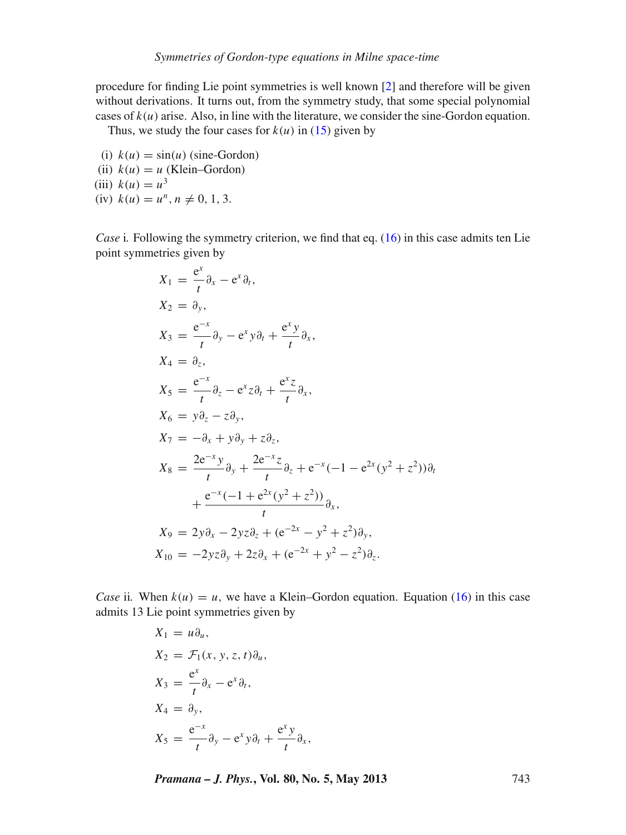procedure for finding Lie point symmetries is well known [\[2](#page-16-1)] and therefore will be given without derivations. It turns out, from the symmetry study, that some special polynomial cases of  $k(u)$  arise. Also, in line with the literature, we consider the sine-Gordon equation.

Thus, we study the four cases for  $k(u)$  in [\(15\)](#page-3-2) given by

(i)  $k(u) = \sin(u)$  (sine-Gordon) (ii)  $k(u) = u$  (Klein–Gordon) (iii)  $k(u) = u^3$ (iv)  $k(u) = u^n, n \neq 0, 1, 3.$ 

*Case* i. Following the symmetry criterion, we find that eq. [\(16\)](#page-3-3) in this case admits ten Lie point symmetries given by

$$
X_1 = \frac{e^x}{t} \partial_x - e^x \partial_t,
$$
  
\n
$$
X_2 = \partial_y,
$$
  
\n
$$
X_3 = \frac{e^{-x}}{t} \partial_y - e^x y \partial_t + \frac{e^x y}{t} \partial_x,
$$
  
\n
$$
X_4 = \partial_z,
$$
  
\n
$$
X_5 = \frac{e^{-x}}{t} \partial_z - e^x z \partial_t + \frac{e^x z}{t} \partial_x,
$$
  
\n
$$
X_6 = y \partial_z - z \partial_y,
$$
  
\n
$$
X_7 = -\partial_x + y \partial_y + z \partial_z,
$$
  
\n
$$
X_8 = \frac{2e^{-x} y}{t} \partial_y + \frac{2e^{-x} z}{t} \partial_z + e^{-x} (-1 - e^{2x} (y^2 + z^2)) \partial_t + \frac{e^{-x} (-1 + e^{2x} (y^2 + z^2))}{t} \partial_x,
$$
  
\n
$$
X_9 = 2y \partial_x - 2yz \partial_z + (e^{-2x} - y^2 + z^2) \partial_y,
$$
  
\n
$$
X_{10} = -2yz \partial_y + 2z \partial_x + (e^{-2x} + y^2 - z^2) \partial_z.
$$

*Case* ii. When  $k(u) = u$ , we have a Klein–Gordon equation. Equation [\(16\)](#page-3-3) in this case admits 13 Lie point symmetries given by

$$
X_1 = u\partial_u,
$$
  
\n
$$
X_2 = \mathcal{F}_1(x, y, z, t)\partial_u,
$$
  
\n
$$
X_3 = \frac{e^x}{t}\partial_x - e^x\partial_t,
$$
  
\n
$$
X_4 = \partial_y,
$$
  
\n
$$
X_5 = \frac{e^{-x}}{t}\partial_y - e^x y \partial_t + \frac{e^x y}{t}\partial_x,
$$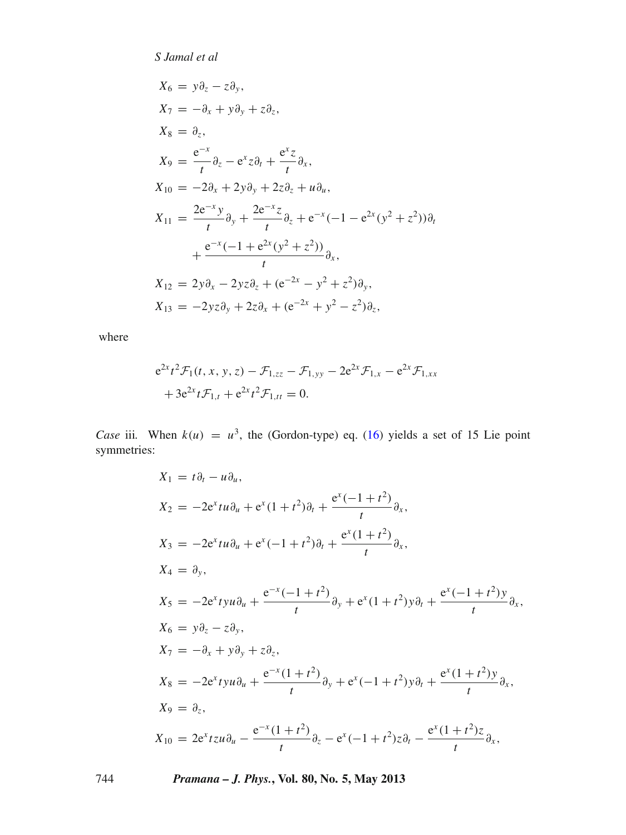$$
X_6 = y\partial_z - z\partial_y,
$$
  
\n
$$
X_7 = -\partial_x + y\partial_y + z\partial_z,
$$
  
\n
$$
X_8 = \partial_z,
$$
  
\n
$$
X_9 = \frac{e^{-x}}{t}\partial_z - e^x z \partial_t + \frac{e^x z}{t}\partial_x,
$$
  
\n
$$
X_{10} = -2\partial_x + 2y\partial_y + 2z\partial_z + u\partial_u,
$$
  
\n
$$
X_{11} = \frac{2e^{-x}y}{t}\partial_y + \frac{2e^{-x}z}{t}\partial_z + e^{-x}(-1 - e^{2x}(y^2 + z^2))\partial_t + \frac{e^{-x}(-1 + e^{2x}(y^2 + z^2))}{t}\partial_x,
$$
  
\n
$$
X_{12} = 2y\partial_x - 2yz\partial_z + (e^{-2x} - y^2 + z^2)\partial_y,
$$
  
\n
$$
X_{13} = -2yz\partial_y + 2z\partial_x + (e^{-2x} + y^2 - z^2)\partial_z,
$$

where

$$
e^{2x}t^2\mathcal{F}_1(t, x, y, z) - \mathcal{F}_{1,zz} - \mathcal{F}_{1,yy} - 2e^{2x}\mathcal{F}_{1,x} - e^{2x}\mathcal{F}_{1,xx}
$$
  
+  $3e^{2x}t\mathcal{F}_{1,t} + e^{2x}t^2\mathcal{F}_{1,tt} = 0.$ 

*Case* iii. When  $k(u) = u^3$ , the (Gordon-type) eq. [\(16\)](#page-3-3) yields a set of 15 Lie point symmetries:

$$
X_1 = t\partial_t - u\partial_u,
$$
  
\n
$$
X_2 = -2e^x tu\partial_u + e^x (1+t^2)\partial_t + \frac{e^x (-1+t^2)}{t} \partial_x,
$$
  
\n
$$
X_3 = -2e^x tu\partial_u + e^x (-1+t^2)\partial_t + \frac{e^x (1+t^2)}{t} \partial_x,
$$
  
\n
$$
X_4 = \partial_y,
$$
  
\n
$$
X_5 = -2e^x tyu\partial_u + \frac{e^{-x} (-1+t^2)}{t} \partial_y + e^x (1+t^2) y\partial_t + \frac{e^x (-1+t^2) y}{t} \partial_x,
$$
  
\n
$$
X_6 = y\partial_z - z\partial_y,
$$
  
\n
$$
X_7 = -\partial_x + y\partial_y + z\partial_z,
$$
  
\n
$$
X_8 = -2e^x tyu\partial_u + \frac{e^{-x} (1+t^2)}{t} \partial_y + e^x (-1+t^2) y\partial_t + \frac{e^x (1+t^2) y}{t} \partial_x,
$$
  
\n
$$
X_9 = \partial_z,
$$
  
\n
$$
X_{10} = 2e^x tzu\partial_u - \frac{e^{-x} (1+t^2)}{t} \partial_z - e^x (-1+t^2) z\partial_t - \frac{e^x (1+t^2) z}{t} \partial_x,
$$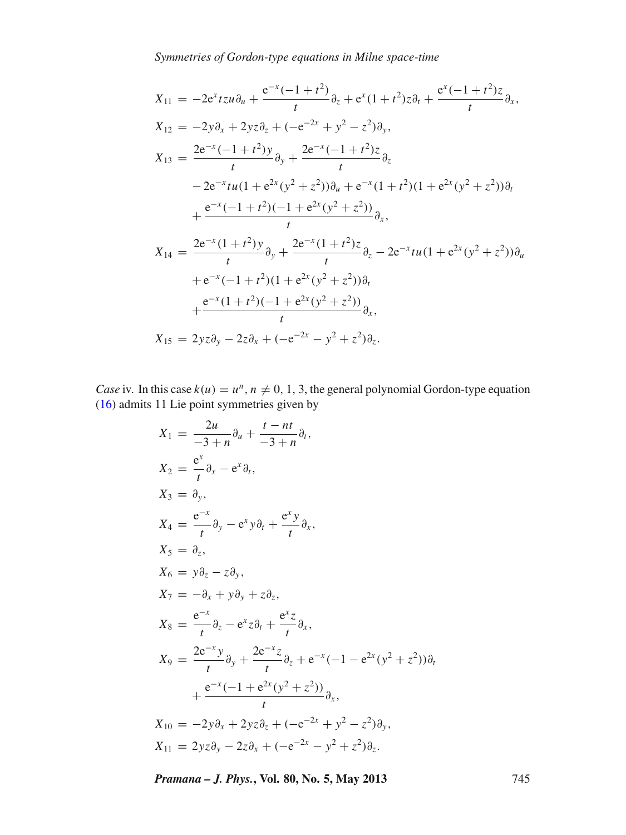*Symmetries of Gordon-type equations in Milne space-time*

$$
X_{11} = -2e^{x}tzu\partial_{u} + \frac{e^{-x}(-1+t^{2})}{t}\partial_{z} + e^{x}(1+t^{2})z\partial_{t} + \frac{e^{x}(-1+t^{2})z}{t}\partial_{x},
$$
  
\n
$$
X_{12} = -2y\partial_{x} + 2yz\partial_{z} + (-e^{-2x} + y^{2} - z^{2})\partial_{y},
$$
  
\n
$$
X_{13} = \frac{2e^{-x}(-1+t^{2})y}{t}\partial_{y} + \frac{2e^{-x}(-1+t^{2})z}{t}\partial_{z}
$$
  
\n
$$
-2e^{-x}tu(1+e^{2x}(y^{2}+z^{2}))\partial_{u} + e^{-x}(1+t^{2})(1+e^{2x}(y^{2}+z^{2}))\partial_{t}
$$
  
\n
$$
+ \frac{e^{-x}(-1+t^{2})(-1+e^{2x}(y^{2}+z^{2}))}{t}\partial_{x},
$$
  
\n
$$
X_{14} = \frac{2e^{-x}(1+t^{2})y}{t}\partial_{y} + \frac{2e^{-x}(1+t^{2})z}{t}\partial_{z} - 2e^{-x}tu(1+e^{2x}(y^{2}+z^{2}))\partial_{u}
$$
  
\n
$$
+ e^{-x}(-1+t^{2})(1+e^{2x}(y^{2}+z^{2}))\partial_{t}
$$
  
\n
$$
+ \frac{e^{-x}(1+t^{2})(-1+e^{2x}(y^{2}+z^{2}))}{t}\partial_{x},
$$
  
\n
$$
X_{15} = 2yz\partial_{y} - 2z\partial_{x} + (-e^{-2x} - y^{2} + z^{2})\partial_{z}.
$$

*Case* iv. In this case  $k(u) = u^n$ ,  $n \neq 0, 1, 3$ , the general polynomial Gordon-type equation [\(16\)](#page-3-3) admits 11 Lie point symmetries given by

$$
X_1 = \frac{2u}{-3 + n} \partial_u + \frac{t - nt}{-3 + n} \partial_t,
$$
  
\n
$$
X_2 = \frac{e^x}{t} \partial_x - e^x \partial_t,
$$
  
\n
$$
X_3 = \partial_y,
$$
  
\n
$$
X_4 = \frac{e^{-x}}{t} \partial_y - e^x y \partial_t + \frac{e^x y}{t} \partial_x,
$$
  
\n
$$
X_5 = \partial_z,
$$
  
\n
$$
X_6 = y \partial_z - z \partial_y,
$$
  
\n
$$
X_7 = -\partial_x + y \partial_y + z \partial_z,
$$
  
\n
$$
X_8 = \frac{e^{-x}}{t} \partial_z - e^x z \partial_t + \frac{e^x z}{t} \partial_x,
$$
  
\n
$$
X_9 = \frac{2e^{-x} y}{t} \partial_y + \frac{2e^{-x} z}{t} \partial_z + e^{-x} (-1 - e^{2x} (y^2 + z^2)) \partial_t + \frac{e^{-x} (-1 + e^{2x} (y^2 + z^2))}{t} \partial_x,
$$
  
\n
$$
X_{10} = -2y \partial_x + 2yz \partial_z + (-e^{-2x} + y^2 - z^2) \partial_y,
$$
  
\n
$$
X_{11} = 2yz \partial_y - 2z \partial_x + (-e^{-2x} - y^2 + z^2) \partial_z.
$$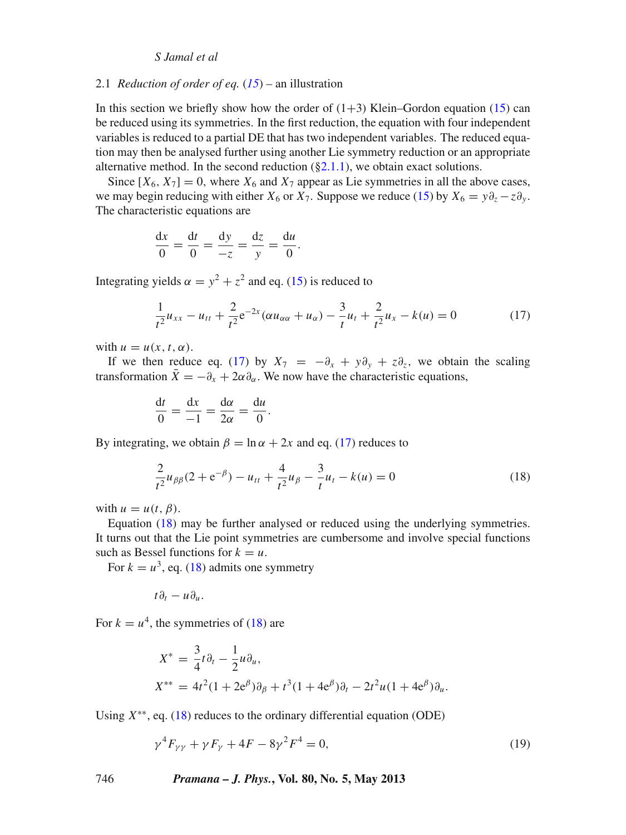#### 2.1 *Reduction of order of eq.* (*[15](#page-3-2)*) – an illustration

In this section we briefly show how the order of  $(1+3)$  Klein–Gordon equation [\(15\)](#page-3-2) can be reduced using its symmetries. In the first reduction, the equation with four independent variables is reduced to a partial DE that has two independent variables. The reduced equation may then be analysed further using another Lie symmetry reduction or an appropriate alternative method. In the second reduction  $(\S 2.1.1)$ , we obtain exact solutions.

Since  $[X_6, X_7] = 0$ , where  $X_6$  and  $X_7$  appear as Lie symmetries in all the above cases, we may begin reducing with either  $X_6$  or  $X_7$ . Suppose we reduce [\(15\)](#page-3-2) by  $X_6 = y \partial_z - z \partial_y$ . The characteristic equations are

$$
\frac{\mathrm{d}x}{0} = \frac{\mathrm{d}t}{0} = \frac{\mathrm{d}y}{-z} = \frac{\mathrm{d}z}{y} = \frac{\mathrm{d}u}{0}.
$$

Integrating yields  $\alpha = y^2 + z^2$  and eq. [\(15\)](#page-3-2) is reduced to

<span id="page-7-0"></span>
$$
\frac{1}{t^2}u_{xx} - u_{tt} + \frac{2}{t^2}e^{-2x}(\alpha u_{\alpha\alpha} + u_{\alpha}) - \frac{3}{t}u_t + \frac{2}{t^2}u_x - k(u) = 0
$$
\n(17)

with  $u = u(x, t, \alpha)$ .

If we then reduce eq. [\(17\)](#page-7-0) by  $X_7 = -\partial_x + y\partial_y + z\partial_z$ , we obtain the scaling transformation  $\bar{X} = -\partial_x + 2\alpha \partial_\alpha$ . We now have the characteristic equations,

$$
\frac{\mathrm{d}t}{0} = \frac{\mathrm{d}x}{-1} = \frac{\mathrm{d}\alpha}{2\alpha} = \frac{\mathrm{d}u}{0}.
$$

By integrating, we obtain  $\beta = \ln \alpha + 2x$  and eq. [\(17\)](#page-7-0) reduces to

<span id="page-7-1"></span>
$$
\frac{2}{t^2}u_{\beta\beta}(2+e^{-\beta}) - u_{tt} + \frac{4}{t^2}u_{\beta} - \frac{3}{t}u_t - k(u) = 0
$$
\n(18)

with  $u = u(t, \beta)$ .

Equation [\(18\)](#page-7-1) may be further analysed or reduced using the underlying symmetries. It turns out that the Lie point symmetries are cumbersome and involve special functions such as Bessel functions for  $k = u$ .

For  $k = u^3$ , eq. [\(18\)](#page-7-1) admits one symmetry

$$
t\partial_t-u\partial_u.
$$

For  $k = u^4$ , the symmetries of [\(18\)](#page-7-1) are

$$
X^* = \frac{3}{4}t\partial_t - \frac{1}{2}u\partial_u,
$$
  
\n
$$
X^{**} = 4t^2(1 + 2e^{\beta})\partial_{\beta} + t^3(1 + 4e^{\beta})\partial_t - 2t^2u(1 + 4e^{\beta})\partial_u.
$$

Using *X*∗∗, eq. [\(18\)](#page-7-1) reduces to the ordinary differential equation (ODE)

<span id="page-7-2"></span>
$$
\gamma^4 F_{\gamma\gamma} + \gamma F_{\gamma} + 4F - 8\gamma^2 F^4 = 0,\tag{19}
$$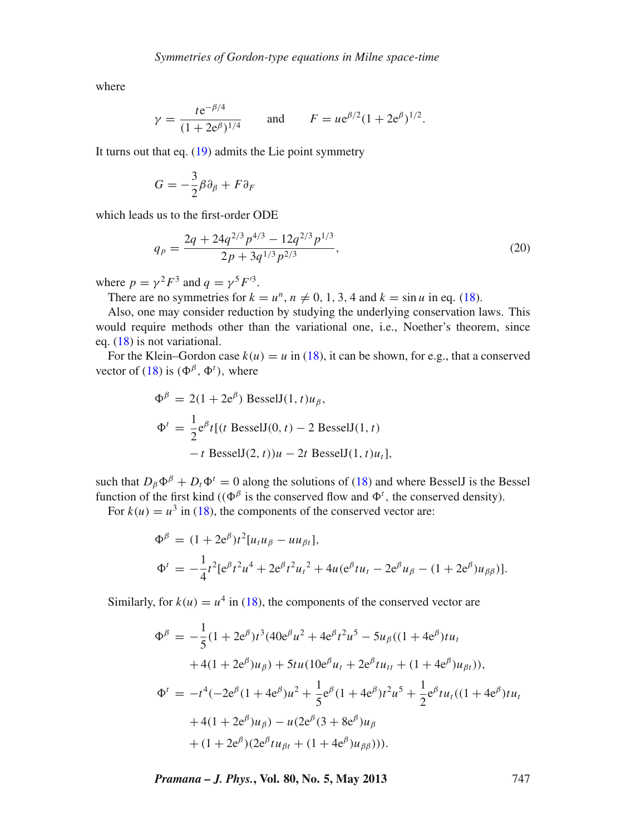where

$$
\gamma = \frac{t e^{-\beta/4}}{(1 + 2e^{\beta})^{1/4}}
$$
 and  $F = u e^{\beta/2} (1 + 2e^{\beta})^{1/2}$ .

It turns out that eq. [\(19\)](#page-7-2) admits the Lie point symmetry

$$
G=-\frac{3}{2}\beta\partial_{\beta}+F\partial_{F}
$$

which leads us to the first-order ODE

$$
q_p = \frac{2q + 24q^{2/3}p^{4/3} - 12q^{2/3}p^{1/3}}{2p + 3q^{1/3}p^{2/3}},
$$
\n(20)

where  $p = \gamma^2 F^3$  and  $q = \gamma^5 F'^3$ .

There are no symmetries for  $k = u^n$ ,  $n \neq 0, 1, 3, 4$  and  $k = \sin u$  in eq. [\(18\)](#page-7-1).

Also, one may consider reduction by studying the underlying conservation laws. This would require methods other than the variational one, i.e., Noether's theorem, since eq. [\(18\)](#page-7-1) is not variational.

For the Klein–Gordon case  $k(u) = u$  in [\(18\)](#page-7-1), it can be shown, for e.g., that a conserved vector of [\(18\)](#page-7-1) is  $(\Phi^{\beta}, \Phi^t)$ , where

$$
\Phi^{\beta} = 2(1 + 2e^{\beta}) \text{ BesselJ}(1, t)u_{\beta},
$$
  
\n
$$
\Phi^{t} = \frac{1}{2}e^{\beta}t[(t \text{ BesselJ}(0, t) - 2 \text{ BesselJ}(1, t) - t \text{ BesselJ}(2, t))u - 2t \text{ BesselJ}(1, t)u_{t}],
$$

such that  $D_{\beta} \Phi^{\beta} + D_{t} \Phi^{t} = 0$  along the solutions of [\(18\)](#page-7-1) and where BesselJ is the Bessel function of the first kind (( $\Phi^{\beta}$  is the conserved flow and  $\Phi^{t}$ , the conserved density). For  $k(u) = u^3$  in [\(18\)](#page-7-1), the components of the conserved vector are:

$$
\Phi^{\beta} = (1 + 2e^{\beta})t^{2}[u_{t}u_{\beta} - uu_{\beta t}],
$$
  
\n
$$
\Phi^{t} = -\frac{1}{4}t^{2}[e^{\beta}t^{2}u^{4} + 2e^{\beta}t^{2}u_{t}^{2} + 4u(e^{\beta}tu_{t} - 2e^{\beta}u_{\beta} - (1 + 2e^{\beta})u_{\beta\beta})].
$$

Similarly, for  $k(u) = u^4$  in [\(18\)](#page-7-1), the components of the conserved vector are

$$
\Phi^{\beta} = -\frac{1}{5}(1 + 2e^{\beta})t^{3}(40e^{\beta}u^{2} + 4e^{\beta}t^{2}u^{5} - 5u_{\beta}((1 + 4e^{\beta})tu_{t}
$$
  
+4(1 + 2e^{\beta})u\_{\beta}) + 5tu(10e^{\beta}u\_{t} + 2e^{\beta}tu\_{tt} + (1 + 4e^{\beta})u\_{\beta t})),  

$$
\Phi^{t} = -t^{4}(-2e^{\beta}(1 + 4e^{\beta})u^{2} + \frac{1}{5}e^{\beta}(1 + 4e^{\beta})t^{2}u^{5} + \frac{1}{2}e^{\beta}tu_{t}((1 + 4e^{\beta})tu_{t}
$$
  
+4(1 + 2e^{\beta})u\_{\beta}) - u(2e^{\beta}(3 + 8e^{\beta})u\_{\beta}  
+ (1 + 2e^{\beta})(2e^{\beta}tu\_{\beta t} + (1 + 4e^{\beta})u\_{\beta\beta}))).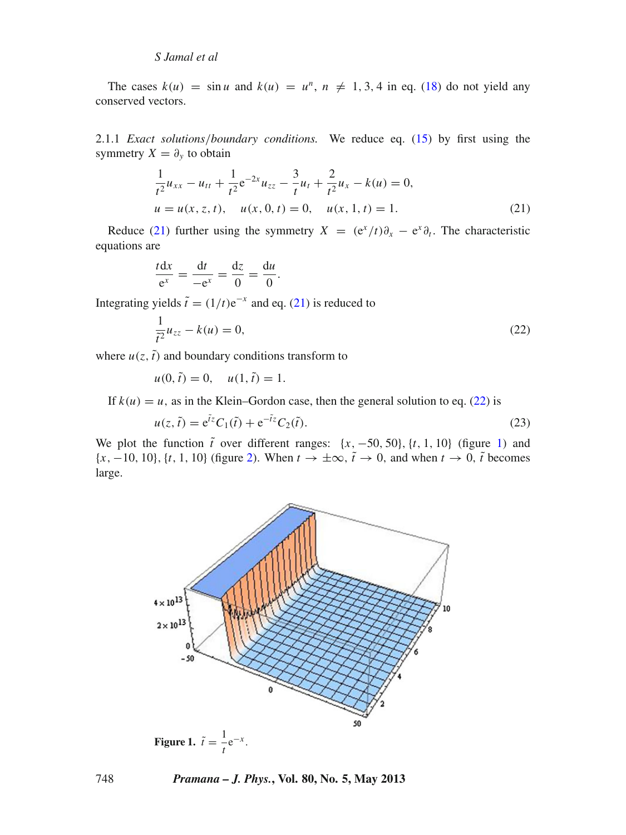The cases  $k(u) = \sin u$  and  $k(u) = u^n$ ,  $n \neq 1, 3, 4$  in eq. [\(18\)](#page-7-1) do not yield any conserved vectors.

<span id="page-9-0"></span>2.1.1 *Exact solutions*/*boundary conditions.* We reduce eq. [\(15\)](#page-3-2) by first using the symmetry  $X = \partial_y$  to obtain

<span id="page-9-1"></span>
$$
\frac{1}{t^2}u_{xx} - u_{tt} + \frac{1}{t^2}e^{-2x}u_{zz} - \frac{3}{t}u_t + \frac{2}{t^2}u_x - k(u) = 0,
$$
  
  $u = u(x, z, t), \quad u(x, 0, t) = 0, \quad u(x, 1, t) = 1.$  (21)

Reduce [\(21\)](#page-9-1) further using the symmetry  $X = (e^x/t)\partial_x - e^x\partial_t$ . The characteristic equations are

$$
\frac{t\mathrm{d}x}{\mathrm{e}^x} = \frac{\mathrm{d}t}{-\mathrm{e}^x} = \frac{\mathrm{d}z}{0} = \frac{\mathrm{d}u}{0}.
$$

Integrating yields  $\tilde{t} = (1/t)e^{-x}$  and eq. [\(21\)](#page-9-1) is reduced to

<span id="page-9-2"></span>
$$
\frac{1}{\tilde{t}^2}u_{zz} - k(u) = 0,\t\t(22)
$$

where  $u(z, \tilde{t})$  and boundary conditions transform to

 $u(0, \tilde{t}) = 0, \quad u(1, \tilde{t}) = 1.$ 

If  $k(u) = u$ , as in the Klein–Gordon case, then the general solution to eq. [\(22\)](#page-9-2) is

<span id="page-9-4"></span>
$$
u(z, \tilde{t}) = e^{\tilde{t}z} C_1(\tilde{t}) + e^{-\tilde{t}z} C_2(\tilde{t}).
$$
\n(23)

We plot the function  $\tilde{t}$  over different ranges:  $\{x, -50, 50\}$ ,  $\{t, 1, 10\}$  (figure [1\)](#page-9-3) and  $\{x, -10, 10\}$ ,  $\{t, 1, 10\}$  (figure [2\)](#page-10-0). When  $t \to \pm \infty$ ,  $\tilde{t} \to 0$ , and when  $t \to 0$ ,  $\tilde{t}$  becomes large.

<span id="page-9-3"></span>

748 *Pramana – J. Phys.***, Vol. 80, No. 5, May 2013**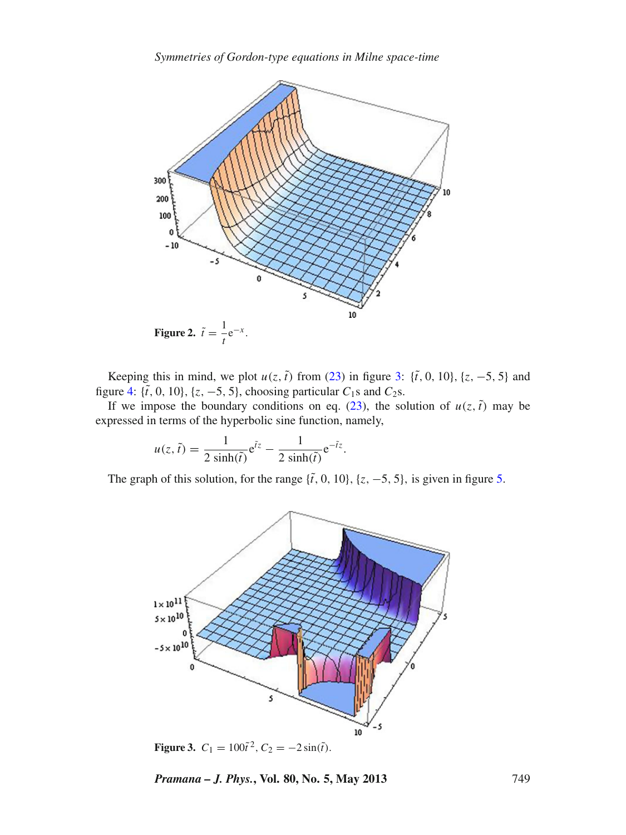<span id="page-10-0"></span>

Keeping this in mind, we plot  $u(z, \tilde{t})$  from [\(23\)](#page-9-4) in figure [3:](#page-10-1) { $\tilde{t}$ , 0, 10}, { $z$ , -5, 5} and figure [4:](#page-11-0) { $\tilde{t}$ , 0, 10}, { $z$ , -5, 5}, choosing particular  $C_1$ s and  $C_2$ s.

If we impose the boundary conditions on eq.  $(23)$ , the solution of  $u(z, \tilde{t})$  may be expressed in terms of the hyperbolic sine function, namely,

$$
u(z, \tilde{t}) = \frac{1}{2 \sinh(\tilde{t})} e^{\tilde{t}z} - \frac{1}{2 \sinh(\tilde{t})} e^{-\tilde{t}z}.
$$

<span id="page-10-1"></span>The graph of this solution, for the range  $\{\tilde{t}, 0, 10\}$ ,  $\{z, -5, 5\}$ , is given in figure [5.](#page-11-1)



**Figure 3.**  $C_1 = 100\tilde{t}^2$ ,  $C_2 = -2\sin(\tilde{t})$ .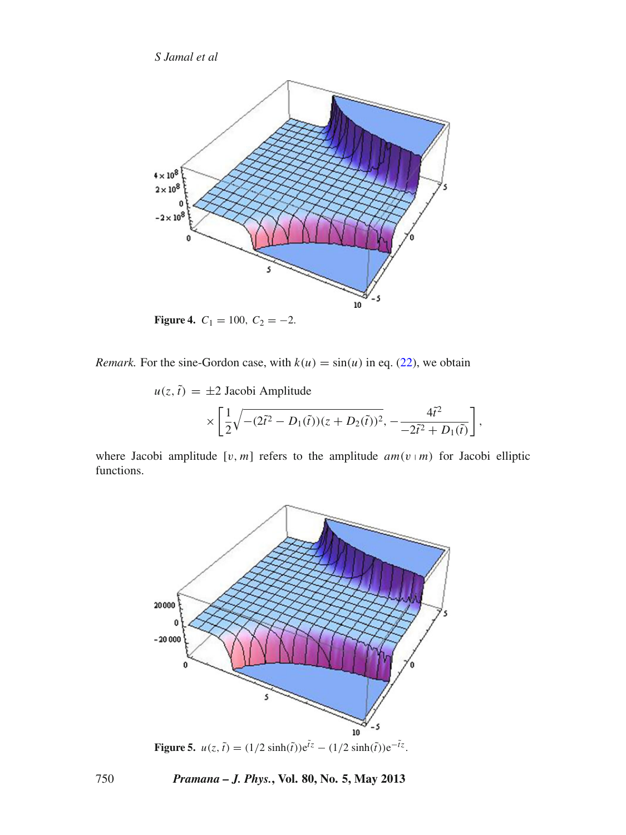<span id="page-11-0"></span>

**Figure 4.**  $C_1 = 100$ ,  $C_2 = -2$ .

*Remark.* For the sine-Gordon case, with  $k(u) = \sin(u)$  in eq. [\(22\)](#page-9-2), we obtain

$$
u(z, \tilde{t}) = \pm 2
$$
 Jacobi Amplitude  

$$
\times \left[ \frac{1}{2} \sqrt{- (2\tilde{t}^2 - D_1(\tilde{t})) (z + D_2(\tilde{t}))^2}, -\frac{4\tilde{t}^2}{-2\tilde{t}^2 + D_1(\tilde{t})} \right]
$$

,

<span id="page-11-1"></span>where Jacobi amplitude  $[v, m]$  refers to the amplitude  $am(v | m)$  for Jacobi elliptic functions.



**Figure 5.**  $u(z, \tilde{t}) = (1/2 \sinh(\tilde{t}))e^{\tilde{t}z} - (1/2 \sinh(\tilde{t}))e^{-\tilde{t}z}$ .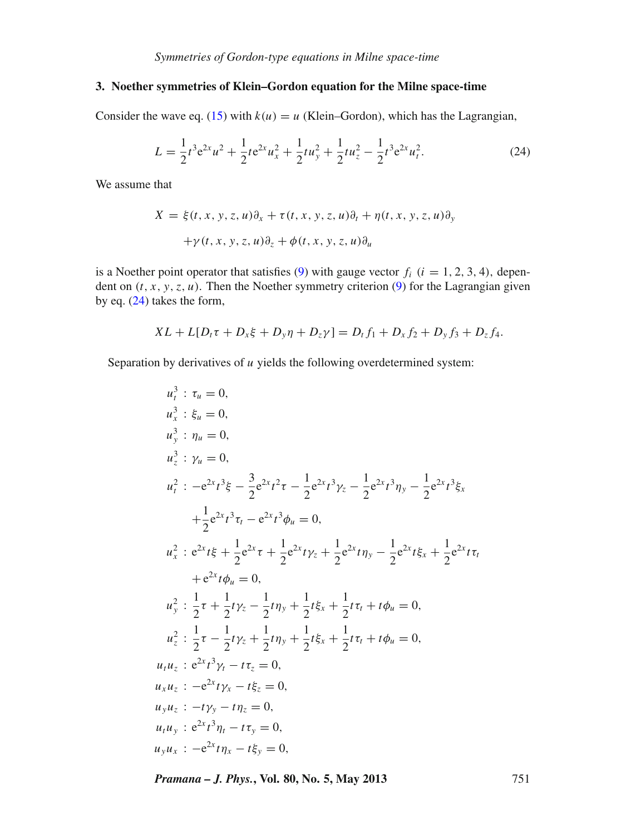# <span id="page-12-0"></span>**3. Noether symmetries of Klein–Gordon equation for the Milne space-time**

Consider the wave eq. [\(15\)](#page-3-2) with  $k(u) = u$  (Klein–Gordon), which has the Lagrangian,

<span id="page-12-1"></span>
$$
L = \frac{1}{2}t^3 e^{2x} u^2 + \frac{1}{2}t e^{2x} u_x^2 + \frac{1}{2}t u_y^2 + \frac{1}{2}t u_z^2 - \frac{1}{2}t^3 e^{2x} u_t^2.
$$
 (24)

We assume that

$$
X = \xi(t, x, y, z, u)\partial_x + \tau(t, x, y, z, u)\partial_t + \eta(t, x, y, z, u)\partial_y
$$
  
+ $\gamma(t, x, y, z, u)\partial_z + \phi(t, x, y, z, u)\partial_u$ 

is a Noether point operator that satisfies  $(9)$  with gauge vector  $f_i$  ( $i = 1, 2, 3, 4$ ), dependent on  $(t, x, y, z, u)$ . Then the Noether symmetry criterion  $(9)$  for the Lagrangian given by eq. [\(24\)](#page-12-1) takes the form,

$$
XL + L[D_t\tau + D_x\xi + D_y\eta + D_z\gamma] = D_tf_1 + D_xf_2 + D_yf_3 + D_zf_4.
$$

Separation by derivatives of *u* yields the following overdetermined system:

$$
u_t^3 : \xi_u = 0,
$$
  
\n
$$
u_y^3 : \eta_u = 0,
$$
  
\n
$$
u_z^3 : \gamma_u = 0,
$$
  
\n
$$
u_t^2 : -e^{2x}t^3\xi - \frac{3}{2}e^{2x}t^2\tau - \frac{1}{2}e^{2x}t^3\gamma_z - \frac{1}{2}e^{2x}t^3\eta_y - \frac{1}{2}e^{2x}t^3\xi_x
$$
  
\n
$$
+ \frac{1}{2}e^{2x}t^3\tau_t - e^{2x}t^3\phi_u = 0,
$$
  
\n
$$
u_x^2 : e^{2x}t\xi + \frac{1}{2}e^{2x}\tau + \frac{1}{2}e^{2x}t\gamma_z + \frac{1}{2}e^{2x}t\eta_y - \frac{1}{2}e^{2x}t\xi_x + \frac{1}{2}e^{2x}t\tau_t
$$
  
\n
$$
+ e^{2x}t\phi_u = 0,
$$
  
\n
$$
u_y^2 : \frac{1}{2}\tau + \frac{1}{2}t\gamma_z - \frac{1}{2}t\eta_y + \frac{1}{2}t\xi_x + \frac{1}{2}t\tau_t + t\phi_u = 0,
$$
  
\n
$$
u_z^2 : \frac{1}{2}\tau - \frac{1}{2}t\gamma_z + \frac{1}{2}t\eta_y + \frac{1}{2}t\xi_x + \frac{1}{2}t\tau_t + t\phi_u = 0,
$$
  
\n
$$
u_t u_z : e^{2x}t^3\gamma_t - t\tau_z = 0,
$$
  
\n
$$
u_x u_z : -e^{2x}t\gamma_x - t\xi_z = 0,
$$
  
\n
$$
u_y u_x : -t\gamma_y - t\eta_z = 0,
$$
  
\n
$$
u_y u_x : -e^{2x}t\eta_x - t\xi_y = 0,
$$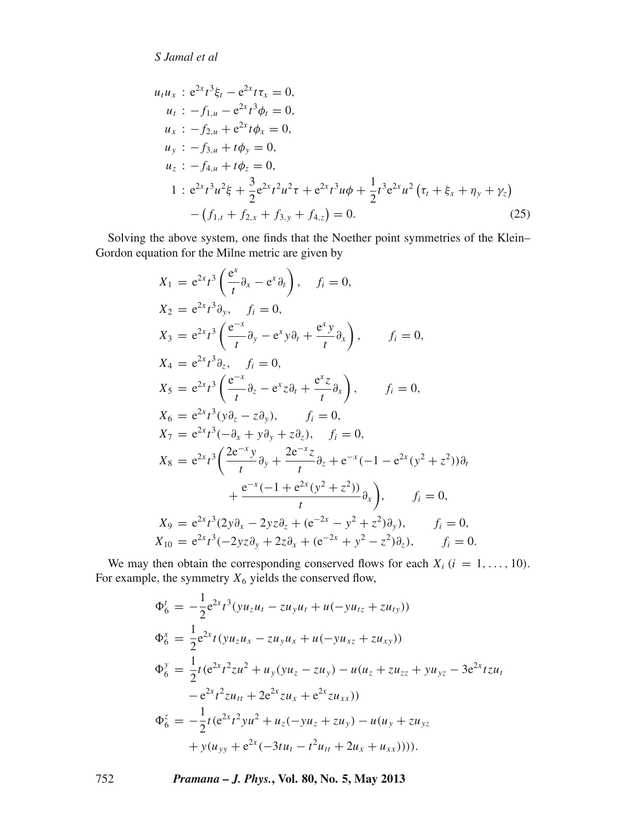$$
u_t u_x : e^{2x} t^3 \xi_t - e^{2x} t \tau_x = 0,
$$
  
\n
$$
u_t : -f_{1,u} - e^{2x} t^3 \phi_t = 0,
$$
  
\n
$$
u_x : -f_{2,u} + e^{2x} t \phi_x = 0,
$$
  
\n
$$
u_y : -f_{3,u} + t \phi_y = 0,
$$
  
\n
$$
u_z : -f_{4,u} + t \phi_z = 0,
$$
  
\n
$$
1 : e^{2x} t^3 u^2 \xi + \frac{3}{2} e^{2x} t^2 u^2 \tau + e^{2x} t^3 u \phi + \frac{1}{2} t^3 e^{2x} u^2 (\tau_t + \xi_x + \eta_y + \gamma_z)
$$
  
\n
$$
- (f_{1,t} + f_{2,x} + f_{3,y} + f_{4,z}) = 0.
$$
\n(25)

Solving the above system, one finds that the Noether point symmetries of the Klein– Gordon equation for the Milne metric are given by

$$
X_{1} = e^{2x}t^{3} \left(\frac{e^{x}}{t} \partial_{x} - e^{x} \partial_{t}\right), \quad f_{i} = 0,
$$
  
\n
$$
X_{2} = e^{2x}t^{3} \partial_{y}, \quad f_{i} = 0,
$$
  
\n
$$
X_{3} = e^{2x}t^{3} \left(\frac{e^{-x}}{t} \partial_{y} - e^{x} y \partial_{t} + \frac{e^{x} y}{t} \partial_{x}\right), \quad f_{i} = 0,
$$
  
\n
$$
X_{4} = e^{2x}t^{3} \partial_{z}, \quad f_{i} = 0,
$$
  
\n
$$
X_{5} = e^{2x}t^{3} \left(\frac{e^{-x}}{t} \partial_{z} - e^{x} z \partial_{t} + \frac{e^{x} z}{t} \partial_{x}\right), \quad f_{i} = 0,
$$
  
\n
$$
X_{6} = e^{2x}t^{3} (y \partial_{z} - z \partial_{y}), \quad f_{i} = 0,
$$
  
\n
$$
X_{7} = e^{2x}t^{3} (-\partial_{x} + y \partial_{y} + z \partial_{z}), \quad f_{i} = 0,
$$
  
\n
$$
X_{8} = e^{2x}t^{3} \left(\frac{2e^{-x} y}{t} \partial_{y} + \frac{2e^{-x} z}{t} \partial_{z} + e^{-x} (-1 - e^{2x} (y^{2} + z^{2})) \partial_{t}\right), \quad f_{i} = 0,
$$
  
\n
$$
X_{9} = e^{2x}t^{3} (2y \partial_{x} - 2yz \partial_{z} + (e^{-2x} - y^{2} + z^{2}) \partial_{y}), \quad f_{i} = 0,
$$
  
\n
$$
X_{10} = e^{2x}t^{3} (-2yz \partial_{y} + 2z \partial_{x} + (e^{-2x} + y^{2} - z^{2}) \partial_{z}), \quad f_{i} = 0.
$$

We may then obtain the corresponding conserved flows for each  $X_i$  ( $i = 1, ..., 10$ ). For example, the symmetry  $X_6$  yields the conserved flow,

$$
\Phi_6^t = -\frac{1}{2} e^{2x} t^3 (y u_z u_t - z u_y u_t + u(-y u_{tz} + z u_{ty}))
$$
  
\n
$$
\Phi_6^x = \frac{1}{2} e^{2x} t (y u_z u_x - z u_y u_x + u(-y u_{xz} + z u_{xy}))
$$
  
\n
$$
\Phi_6^y = \frac{1}{2} t (e^{2x} t^2 z u^2 + u_y (y u_z - z u_y) - u(u_z + z u_{zz} + y u_{yz} - 3e^{2x} t z u_t
$$
  
\n
$$
-e^{2x} t^2 z u_{tt} + 2e^{2x} z u_x + e^{2x} z u_{xx})
$$
  
\n
$$
\Phi_6^z = -\frac{1}{2} t (e^{2x} t^2 y u^2 + u_z(-y u_z + z u_y) - u(u_y + z u_{yz} + y(u_{yy} + e^{2x} (-3t u_t - t^2 u_{tt} + 2u_x + u_{xx}))))
$$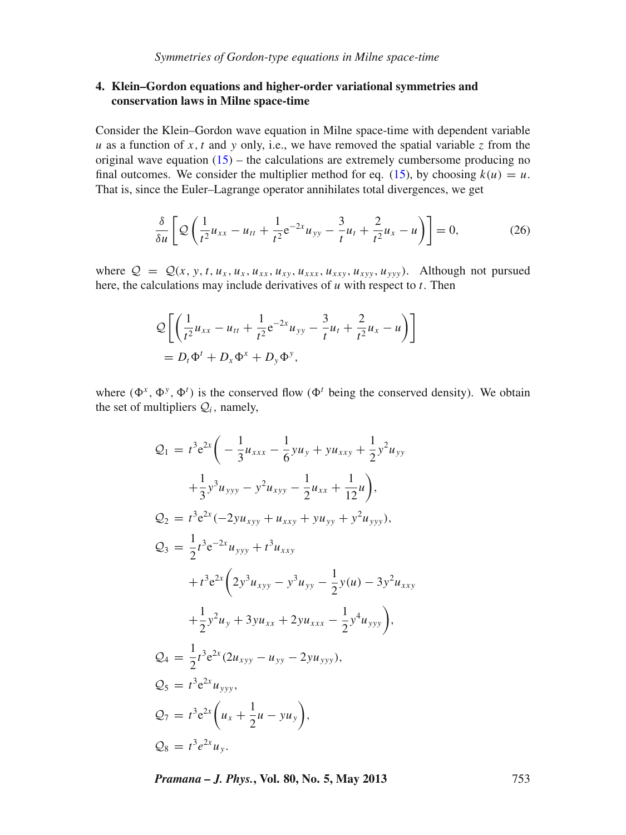## <span id="page-14-0"></span>**4. Klein–Gordon equations and higher-order variational symmetries and conservation laws in Milne space-time**

Consider the Klein–Gordon wave equation in Milne space-time with dependent variable *u* as a function of *x*, *t* and *y* only, i.e., we have removed the spatial variable *z* from the original wave equation  $(15)$  – the calculations are extremely cumbersome producing no final outcomes. We consider the multiplier method for eq. [\(15\)](#page-3-2), by choosing  $k(u) = u$ . That is, since the Euler–Lagrange operator annihilates total divergences, we get

$$
\frac{\delta}{\delta u} \left[ \mathcal{Q} \left( \frac{1}{t^2} u_{xx} - u_{tt} + \frac{1}{t^2} e^{-2x} u_{yy} - \frac{3}{t} u_t + \frac{2}{t^2} u_x - u \right) \right] = 0, \tag{26}
$$

where  $Q = Q(x, y, t, u_x, u_x, u_{xx}, u_{xy}, u_{xxx}, u_{xxy}, u_{xyy})$ . Although not pursued here, the calculations may include derivatives of *u* with respect to *t*. Then

$$
\mathcal{Q}\left[\left(\frac{1}{t^2}u_{xx} - u_{tt} + \frac{1}{t^2}e^{-2x}u_{yy} - \frac{3}{t}u_t + \frac{2}{t^2}u_x - u\right)\right]
$$
  
=  $D_t\Phi^t + D_x\Phi^x + D_y\Phi^y$ ,

where  $(\Phi^x, \Phi^y, \Phi^t)$  is the conserved flow  $(\Phi^t$  being the conserved density). We obtain the set of multipliers  $Q_i$ , namely,

$$
Q_1 = t^3 e^{2x} \left( -\frac{1}{3} u_{xxx} - \frac{1}{6} y u_y + y u_{xxy} + \frac{1}{2} y^2 u_{yy} + \frac{1}{3} y^3 u_{yyy} - y^2 u_{xyy} - \frac{1}{2} u_{xx} + \frac{1}{12} u \right),
$$
  
\n
$$
Q_2 = t^3 e^{2x} (-2 y u_{xyy} + u_{xxy} + y u_{yy} + y^2 u_{yyy}),
$$
  
\n
$$
Q_3 = \frac{1}{2} t^3 e^{-2x} u_{yyy} + t^3 u_{xxy} + t^3 u_{xxy} + t^3 e^{2x} \left( 2 y^3 u_{xyy} - y^3 u_{yy} - \frac{1}{2} y (u) - 3 y^2 u_{xxy} + \frac{1}{2} y^2 u_y + 3 y u_{xx} + 2 y u_{xxx} - \frac{1}{2} y^4 u_{yyy} \right),
$$
  
\n
$$
Q_4 = \frac{1}{2} t^3 e^{2x} (2 u_{xyy} - u_{yy} - 2 y u_{yyy}),
$$
  
\n
$$
Q_5 = t^3 e^{2x} u_{yyy},
$$
  
\n
$$
Q_7 = t^3 e^{2x} \left( u_x + \frac{1}{2} u - y u_y \right),
$$
  
\n
$$
Q_8 = t^3 e^{2x} u_y.
$$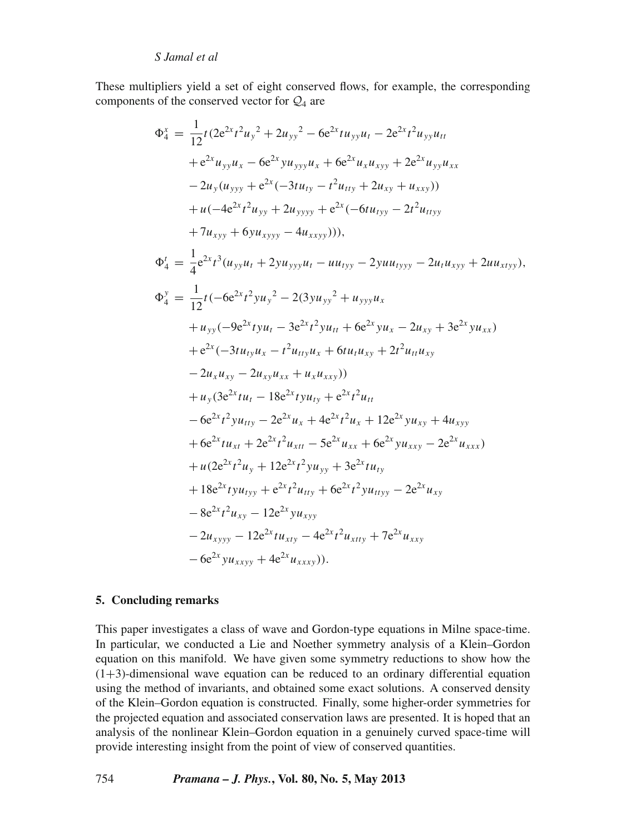These multipliers yield a set of eight conserved flows, for example, the corresponding components of the conserved vector for  $\mathcal{Q}_4$  are

$$
\Phi_4^x = \frac{1}{12}t(2e^{2x}t^2u_y^2 + 2u_{yy}^2 - 6e^{2x}tu_{yy}u_t - 2e^{2x}t^2u_{yy}u_{tt}
$$
  
\n
$$
+ e^{2x}u_{yy}u_x - 6e^{2x}yu_{yyy}u_x + 6e^{2x}u_xu_{xyy} + 2e^{2x}u_{yy}u_{xx}
$$
  
\n
$$
- 2u_y(u_{yyy} + e^{2x}(-3tu_{ty} - t^2u_{ty} + 2u_{xy} + u_{xxy}))
$$
  
\n
$$
+ u(-4e^{2x}t^2u_{yy} + 2u_{yyy} + e^{2x}(-6tu_{tyy} - 2t^2u_{tyyy})
$$
  
\n
$$
+ 7u_{xyy} + 6yu_{xyyy} - 4u_{xxyy}))),
$$
  
\n
$$
\Phi_4^t = \frac{1}{4}e^{2x}t^3(u_{yy}u_t + 2yu_{yyy}u_t - uu_{tyy} - 2yuu_{tyyy} - 2u_tu_{xyy} + 2uu_{xtyy}),
$$
  
\n
$$
\Phi_4^y = \frac{1}{12}t(-6e^{2x}t^2yu_y^2 - 2(3yu_{yy}^2 + u_{yyy}u_x - 2u_{xy} + 3e^{2x}yu_{xx})
$$
  
\n
$$
+ u_{yy}(-9e^{2x}tyu_t - 3e^{2x}t^2yu_t + 6e^{2x}yu_x - 2u_{xy} + 3e^{2x}yu_{xx})
$$
  
\n
$$
+ e^{2x}(-3tu_{ty}u_x - t^2u_{tty}u_x + 6tu_tu_{xy} + 2t^2u_{tt}u_{xy}
$$
  
\n
$$
- 2u_xu_{xy} - 2u_{xy}u_{xx} + u_xu_{xxy}))
$$
  
\n
$$
+ u_y(3e^{2x}tu_t - 18e^{2x}tyu_{ty} + e^{2x}t^2u_{tt} + 12e^{2x}yu_{xy} + 4u_{xyy}
$$
  
\n
$$
+ 6e^{2x}tu_{xt} + 2e^{2x}t^2u_{xtt} - 5e^{2x}u_{xx} + 6e^{2x}yu_{xy} - 2e^{2
$$

### **5. Concluding remarks**

This paper investigates a class of wave and Gordon-type equations in Milne space-time. In particular, we conducted a Lie and Noether symmetry analysis of a Klein–Gordon equation on this manifold. We have given some symmetry reductions to show how the (1+3)-dimensional wave equation can be reduced to an ordinary differential equation using the method of invariants, and obtained some exact solutions. A conserved density of the Klein–Gordon equation is constructed. Finally, some higher-order symmetries for the projected equation and associated conservation laws are presented. It is hoped that an analysis of the nonlinear Klein–Gordon equation in a genuinely curved space-time will provide interesting insight from the point of view of conserved quantities.